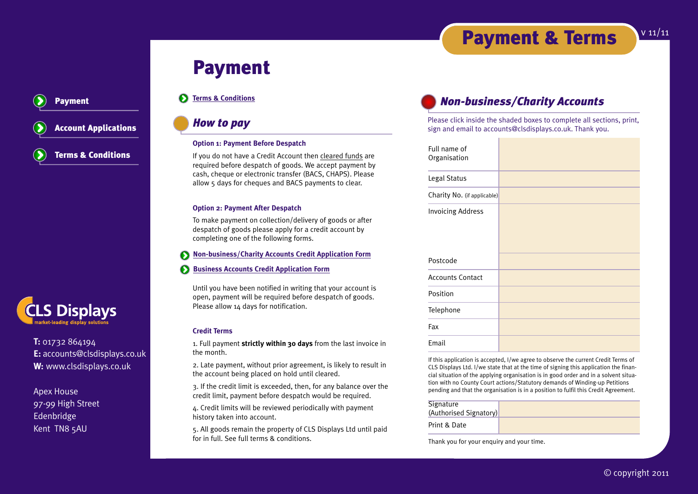# **Payment & Terms** v11/11

# **Payment**

### $\mathbf{\Omega}$ **Terms & Conditions**

### *How to pay*

### **Option 1: Payment Before Despatch**

If you do not have a Credit Account then cleared funds are required before despatch of goods. We accept payment by cash, cheque or electronic transfer (BACS, CHAPS). Please allow 5 days for cheques and BACS payments to clear.

### **Option 2: Payment After Despatch**

To make payment on collection/delivery of goods or after despatch of goods please apply for a credit account by completing one of the following forms.

### **Non-business/Charity Accounts Credit Application Form**

 $\mathbf{\Omega}$ **Business Accounts Credit Application Form**

Until you have been notified in writing that your account is open, payment will be required before despatch of goods. Please allow 14 days for notification.

### **Credit Terms**

1. Full payment **strictly within 30 days** from the last invoice in the month.

2. Late payment, without prior agreement, is likely to result in the account being placed on hold until cleared.

3. If the credit limit is exceeded, then, for any balance over the credit limit, payment before despatch would be required.

4. Credit limits will be reviewed periodically with payment history taken into account.

5. All goods remain the property of CLS Displays Ltd until paid for in full. See full terms & conditions.

## *Non-business/Charity Accounts*

Please click inside the shaded boxes to complete all sections, print, sign and email to accounts@clsdisplays.co.uk. Thank you.

| Full name of<br>Organisation |  |
|------------------------------|--|
| Legal Status                 |  |
| Charity No. (if applicable)  |  |
| <b>Invoicing Address</b>     |  |
| Postcode                     |  |
| <b>Accounts Contact</b>      |  |
| Position                     |  |
| Telephone                    |  |
| Fax                          |  |
| Email                        |  |

If this application is accepted, I/we agree to observe the current Credit Terms of CLS Displays Ltd. I/we state that at the time of signing this application the financial situation of the applying organisation is in good order and in a solvent situation with no County Court actions/Statutory demands of Winding-up Petitions pending and that the organisation is in a position to fulfil this Credit Agreement.

| Signature              |  |
|------------------------|--|
| (Authorised Signatory) |  |
| Print & Date           |  |

Thank you for your enquiry and your time.

© copyright 2011

**Account Applications Terms & Conditions**

**Payment**



**T:** 01732 864194 **E:** accounts@clsdisplays.co.uk **W:** www.clsdisplays.co.uk

Apex House 97-99 High Street Edenbridge Kent TN8 5AU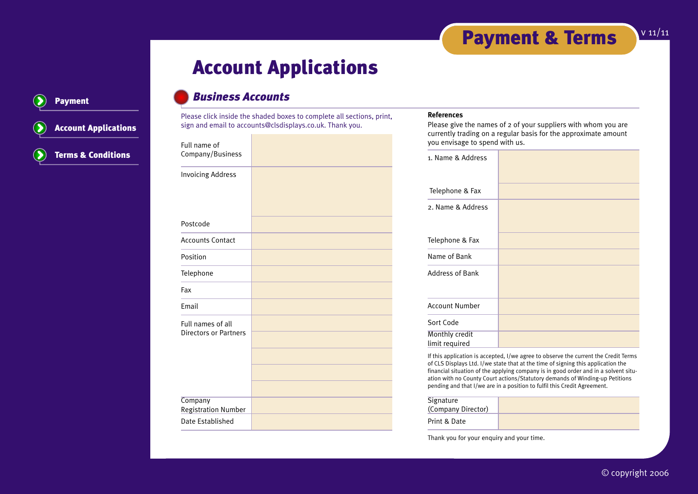# **Account Applications**

## **Payment**

## **Account Applications Terms & Conditions**

## *Business Accounts*

Please click inside the shaded boxes to complete all sections, print, sign and email to accounts@clsdisplays.co.uk. Thank you.

| Full name of<br>Company/Business                  |  |
|---------------------------------------------------|--|
| <b>Invoicing Address</b>                          |  |
| Postcode                                          |  |
| <b>Accounts Contact</b>                           |  |
| Position                                          |  |
| Telephone                                         |  |
| Fax                                               |  |
| Email                                             |  |
| Full names of all<br><b>Directors or Partners</b> |  |
| Company<br><b>Registration Number</b>             |  |
| Date Established                                  |  |

### **References**

Please give the names of 2 of your suppliers with whom you are currently trading on a regular basis for the approximate amount you envisage to spend with us.

| 1. Name & Address                |  |
|----------------------------------|--|
| Telephone & Fax                  |  |
| 2. Name & Address                |  |
| Telephone & Fax                  |  |
| Name of Bank                     |  |
| <b>Address of Bank</b>           |  |
| <b>Account Number</b>            |  |
| Sort Code                        |  |
| Monthly credit<br>limit required |  |

If this application is accepted, I/we agree to observe the current the Credit Terms of CLS Displays Ltd. I/we state that at the time of signing this application the financial situation of the applying company is in good order and in a solvent situation with no County Court actions/Statutory demands of Winding-up Petitions pending and that I/we are in a position to fulfil this Credit Agreement.

| <b>Signature</b><br>(Company Director) |  |
|----------------------------------------|--|
| Print & Date                           |  |

Thank you for your enquiry and your time.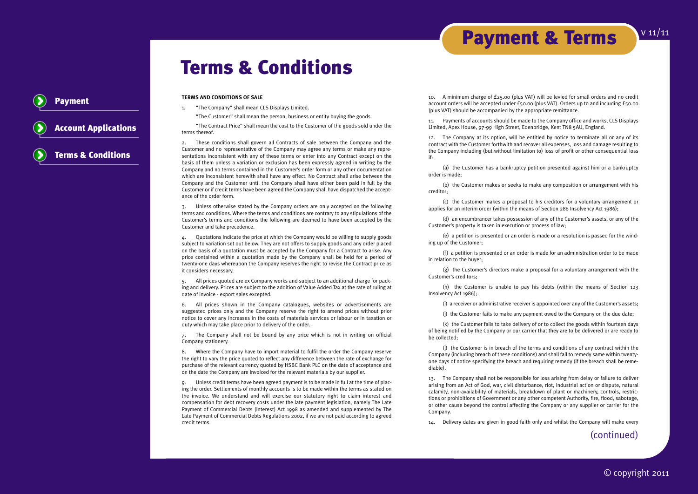## **Terms & Conditions**

**TERMS AND CONDITIONS OF SALE**

**Payment**

**Account Applications**

**Terms & Conditions**

1. "The Company" shall mean CLS Displays Limited.

"The Customer" shall mean the person, business or entity buying the goods.

"The Contract Price" shall mean the cost to the Customer of the goods sold under the terms thereof.

2. These conditions shall govern all Contracts of sale between the Company and the Customer and no representative of the Company may agree any terms or make any representations inconsistent with any of these terms or enter into any Contract except on the basis of them unless a variation or exclusion has been expressly agreed in writing by the Company and no terms contained in the Customer's order form or any other documentation which are inconsistent herewith shall have any effect. No Contract shall arise between the Company and the Customer until the Company shall have either been paid in full by the Customer or if credit terms have been agreed the Company shall have dispatched the acceptance of the order form.

3. Unless otherwise stated by the Company orders are only accepted on the following terms and conditions. Where the terms and conditions are contrary to any stipulations of the Customer's terms and conditions the following are deemed to have been accepted by the Customer and take precedence.

4. Quotations indicate the price at which the Company would be willing to supply goods subject to variation set out below. They are not offers to supply goods and any order placed on the basis of a quotation must be accepted by the Company for a Contract to arise. Any price contained within a quotation made by the Company shall be held for a period of twenty-one days whereupon the Company reserves the right to revise the Contract price as it considers necessary.

5. All prices quoted are ex Company works and subject to an additional charge for packing and delivery. Prices are subject to the addition of Value Added Tax at the rate of ruling at date of invoice - export sales excepted.

6. All prices shown in the Company catalogues, websites or advertisements are suggested prices only and the Company reserve the right to amend prices without prior notice to cover any increases in the costs of materials services or labour or in taxation or duty which may take place prior to delivery of the order.

7. The Company shall not be bound by any price which is not in writing on official Company stationery.

8. Where the Company have to import material to fulfil the order the Company reserve the right to vary the price quoted to reflect any difference between the rate of exchange for purchase of the relevant currency quoted by HSBC Bank PLC on the date of acceptance and on the date the Company are invoiced for the relevant materials by our supplier.

9. Unless credit terms have been agreed payment is to be made in full at the time of placing the order. Settlements of monthly accounts is to be made within the terms as stated on the invoice. We understand and will exercise our statutory right to claim interest and compensation for debt recovery costs under the late payment legislation, namely The Late Payment of Commercial Debts (Interest) Act 1998 as amended and supplemented by The Late Payment of Commercial Debts Regulations 2002, if we are not paid according to agreed credit terms.

10. A minimum charge of £25.00 (plus VAT) will be levied for small orders and no credit account orders will be accepted under £50.00 (plus VAT). Orders up to and including £50.00 (plus VAT) should be accompanied by the appropriate remittance.

**Payment & Terms**

11. Payments of accounts should be made to the Company office and works, CLS Displays Limited, Apex House, 97-99 High Street, Edenbridge, Kent TN8 5AU, England.

12. The Company at its option, will be entitled by notice to terminate all or any of its contract with the Customer forthwith and recover all expenses, loss and damage resulting to the Company including (but without limitation to) loss of profit or other consequential loss if:

(a) the Customer has a bankruptcy petition presented against him or a bankruptcy order is made;

(b) the Customer makes or seeks to make any composition or arrangement with his creditor;

(c) the Customer makes a proposal to his creditors for a voluntary arrangement or applies for an interim order (within the means of Section 286 Insolvency Act 1986);

(d) an encumbrancer takes possession of any of the Customer's assets, or any of the Customer's property is taken in execution or process of law;

(e) a petition is presented or an order is made or a resolution is passed for the winding up of the Customer;

(f) a petition is presented or an order is made for an administration order to be made in relation to the buyer;

(g) the Customer's directors make a proposal for a voluntary arrangement with the Customer's creditors;

(h) the Customer is unable to pay his debts (within the means of Section 123 Insolvency Act 1986);

(i) a receiver or administrative receiver is appointed over any of the Customer's assets;

(j) the Customer fails to make any payment owed to the Company on the due date;

(k) the Customer fails to take delivery of or to collect the goods within fourteen days of being notified by the Company or our carrier that they are to be delivered or are ready to be collected;

(l) the Customer is in breach of the terms and conditions of any contract within the Company (including breach of these conditions) and shall fail to remedy same within twentyone days of notice specifying the breach and requiring remedy (if the breach shall be remediable).

13. The Company shall not be responsible for loss arising from delay or failure to deliver arising from an Act of God, war, civil disturbance, riot, industrial action or dispute, natural calamity, non-availability of materials, breakdown of plant or machinery, controls, restrictions or prohibitions of Government or any other competent Authority, fire, flood, sabotage, or other cause beyond the control affecting the Company or any supplier or carrier for the Company.

14. Delivery dates are given in good faith only and whilst the Company will make every

(continued)

v 11/11